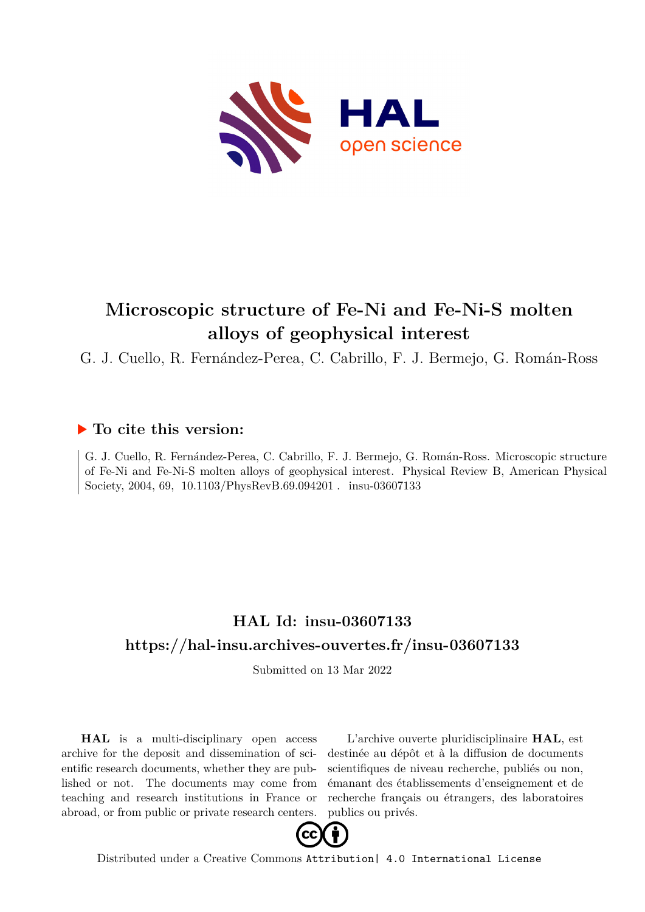

# **Microscopic structure of Fe-Ni and Fe-Ni-S molten alloys of geophysical interest**

G. J. Cuello, R. Fernández-Perea, C. Cabrillo, F. J. Bermejo, G. Román-Ross

# **To cite this version:**

G. J. Cuello, R. Fernández-Perea, C. Cabrillo, F. J. Bermejo, G. Román-Ross. Microscopic structure of Fe-Ni and Fe-Ni-S molten alloys of geophysical interest. Physical Review B, American Physical Society, 2004, 69, 10.1103/PhysRevB.69.094201 . insu-03607133

# **HAL Id: insu-03607133 <https://hal-insu.archives-ouvertes.fr/insu-03607133>**

Submitted on 13 Mar 2022

**HAL** is a multi-disciplinary open access archive for the deposit and dissemination of scientific research documents, whether they are published or not. The documents may come from teaching and research institutions in France or abroad, or from public or private research centers.

L'archive ouverte pluridisciplinaire **HAL**, est destinée au dépôt et à la diffusion de documents scientifiques de niveau recherche, publiés ou non, émanant des établissements d'enseignement et de recherche français ou étrangers, des laboratoires publics ou privés.



Distributed under a Creative Commons [Attribution| 4.0 International License](http://creativecommons.org/licenses/by/4.0/)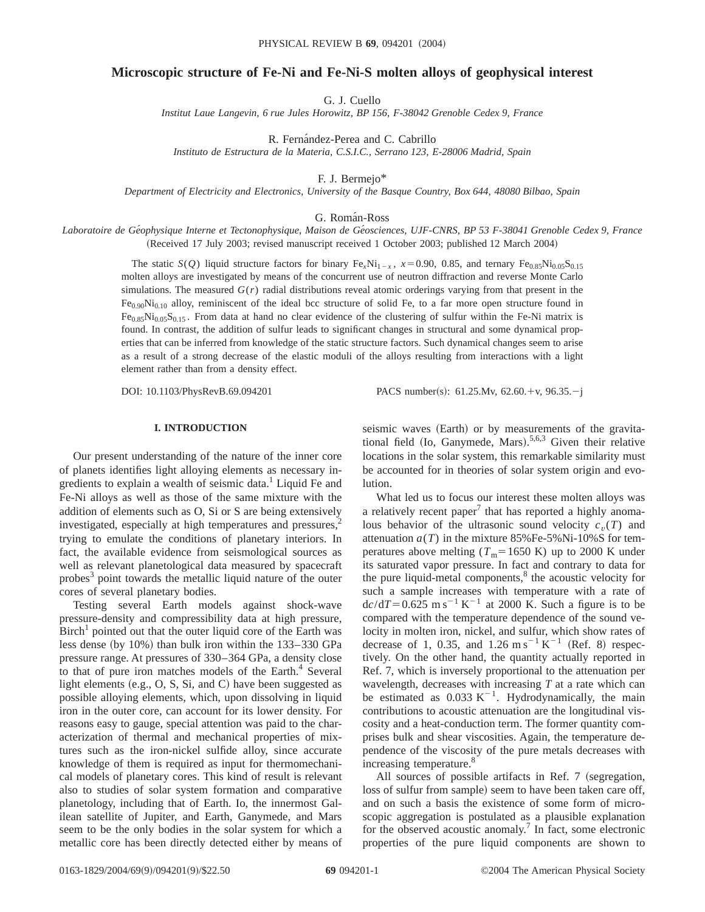# **Microscopic structure of Fe-Ni and Fe-Ni-S molten alloys of geophysical interest**

G. J. Cuello

*Institut Laue Langevin, 6 rue Jules Horowitz, BP 156, F-38042 Grenoble Cedex 9, France*

R. Fernández-Perea and C. Cabrillo

*Instituto de Estructura de la Materia, C.S.I.C., Serrano 123, E-28006 Madrid, Spain*

F. J. Bermejo\*

*Department of Electricity and Electronics, University of the Basque Country, Box 644, 48080 Bilbao, Spain*

G. Román-Ross

Laboratoire de Géophysique Interne et Tectonophysique, Maison de Géosciences, UJF-CNRS, BP 53 F-38041 Grenoble Cedex 9, France (Received 17 July 2003; revised manuscript received 1 October 2003; published 12 March 2004)

> The static *S*(*Q*) liquid structure factors for binary Fe<sub>x</sub>Ni<sub>1-x</sub>,  $x=0.90$ , 0.85, and ternary Fe<sub>0.85</sub>Ni<sub>0.05</sub>S<sub>0.15</sub> molten alloys are investigated by means of the concurrent use of neutron diffraction and reverse Monte Carlo simulations. The measured *G*(*r*) radial distributions reveal atomic orderings varying from that present in the  $Fe_{0.90}Ni_{0.10}$  alloy, reminiscent of the ideal bcc structure of solid Fe, to a far more open structure found in  $Fe_{0.85}Ni_{0.05}S_{0.15}$ . From data at hand no clear evidence of the clustering of sulfur within the Fe-Ni matrix is found. In contrast, the addition of sulfur leads to significant changes in structural and some dynamical properties that can be inferred from knowledge of the static structure factors. Such dynamical changes seem to arise as a result of a strong decrease of the elastic moduli of the alloys resulting from interactions with a light element rather than from a density effect.

DOI: 10.1103/PhysRevB.69.094201 PACS number(s): 61.25.Mv, 62.60.+v, 96.35.-j

# **I. INTRODUCTION**

Our present understanding of the nature of the inner core of planets identifies light alloying elements as necessary ingredients to explain a wealth of seismic data.<sup>1</sup> Liquid Fe and Fe-Ni alloys as well as those of the same mixture with the addition of elements such as O, Si or S are being extensively investigated, especially at high temperatures and pressures, $<sup>2</sup>$ </sup> trying to emulate the conditions of planetary interiors. In fact, the available evidence from seismological sources as well as relevant planetological data measured by spacecraft probes<sup>3</sup> point towards the metallic liquid nature of the outer cores of several planetary bodies.

Testing several Earth models against shock-wave pressure-density and compressibility data at high pressure,  $Birch<sup>1</sup>$  pointed out that the outer liquid core of the Earth was less dense (by  $10\%$ ) than bulk iron within the  $133-330$  GPa pressure range. At pressures of 330–364 GPa, a density close to that of pure iron matches models of the Earth.<sup>4</sup> Several light elements  $(e.g., O, S, Si, and C)$  have been suggested as possible alloying elements, which, upon dissolving in liquid iron in the outer core, can account for its lower density. For reasons easy to gauge, special attention was paid to the characterization of thermal and mechanical properties of mixtures such as the iron-nickel sulfide alloy, since accurate knowledge of them is required as input for thermomechanical models of planetary cores. This kind of result is relevant also to studies of solar system formation and comparative planetology, including that of Earth. Io, the innermost Galilean satellite of Jupiter, and Earth, Ganymede, and Mars seem to be the only bodies in the solar system for which a metallic core has been directly detected either by means of seismic waves (Earth) or by measurements of the gravitational field (Io, Ganymede, Mars).<sup>5,6,3</sup> Given their relative locations in the solar system, this remarkable similarity must be accounted for in theories of solar system origin and evolution.

What led us to focus our interest these molten alloys was a relatively recent paper<sup>7</sup> that has reported a highly anomalous behavior of the ultrasonic sound velocity  $c<sub>v</sub>(T)$  and attenuation  $a(T)$  in the mixture 85%Fe-5%Ni-10%S for temperatures above melting  $(T_m=1650 \text{ K})$  up to 2000 K under its saturated vapor pressure. In fact and contrary to data for the pure liquid-metal components, $8$  the acoustic velocity for such a sample increases with temperature with a rate of  $dc/dT=0.625$  m s<sup>-1</sup> K<sup>-1</sup> at 2000 K. Such a figure is to be compared with the temperature dependence of the sound velocity in molten iron, nickel, and sulfur, which show rates of decrease of 1, 0.35, and  $1.26 \text{ m s}^{-1} \text{ K}^{-1}$  (Ref. 8) respectively. On the other hand, the quantity actually reported in Ref. 7, which is inversely proportional to the attenuation per wavelength, decreases with increasing *T* at a rate which can be estimated as  $0.033 \text{ K}^{-1}$ . Hydrodynamically, the main contributions to acoustic attenuation are the longitudinal viscosity and a heat-conduction term. The former quantity comprises bulk and shear viscosities. Again, the temperature dependence of the viscosity of the pure metals decreases with increasing temperature.<sup>8</sup>

All sources of possible artifacts in Ref. 7 (segregation, loss of sulfur from sample) seem to have been taken care off, and on such a basis the existence of some form of microscopic aggregation is postulated as a plausible explanation for the observed acoustic anomaly.<sup> $\tau$ </sup> In fact, some electronic properties of the pure liquid components are shown to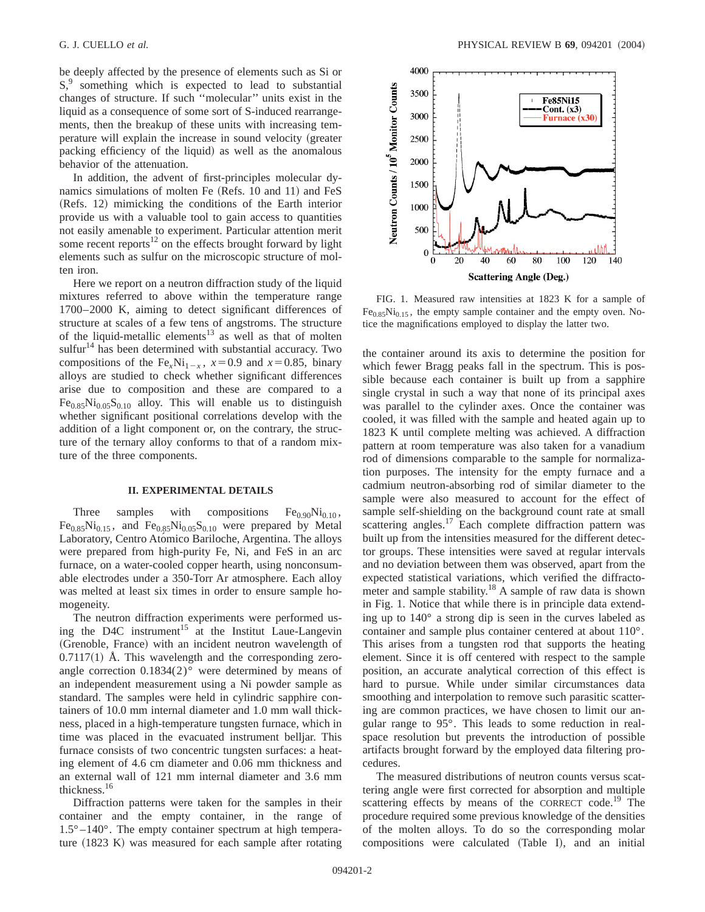be deeply affected by the presence of elements such as Si or  $S<sub>1</sub><sup>9</sup>$  something which is expected to lead to substantial changes of structure. If such ''molecular'' units exist in the liquid as a consequence of some sort of S-induced rearrangements, then the breakup of these units with increasing temperature will explain the increase in sound velocity (greater packing efficiency of the liquid) as well as the anomalous behavior of the attenuation.

In addition, the advent of first-principles molecular dynamics simulations of molten Fe (Refs. 10 and 11) and FeS  $(Refs. 12)$  mimicking the conditions of the Earth interior provide us with a valuable tool to gain access to quantities not easily amenable to experiment. Particular attention merit some recent reports $12$  on the effects brought forward by light elements such as sulfur on the microscopic structure of molten iron.

Here we report on a neutron diffraction study of the liquid mixtures referred to above within the temperature range 1700–2000 K, aiming to detect significant differences of structure at scales of a few tens of angstroms. The structure of the liquid-metallic elements<sup>13</sup> as well as that of molten  $\text{suffix}^{14}$  has been determined with substantial accuracy. Two compositions of the Fe<sub>x</sub>Ni<sub>1-x</sub>,  $x=0.9$  and  $x=0.85$ , binary alloys are studied to check whether significant differences arise due to composition and these are compared to a  $Fe_{0.85}Ni_{0.05}S_{0.10}$  alloy. This will enable us to distinguish whether significant positional correlations develop with the addition of a light component or, on the contrary, the structure of the ternary alloy conforms to that of a random mixture of the three components.

#### **II. EXPERIMENTAL DETAILS**

Three samples with compositions  $Fe_{0.90}Ni_{0.10}$ ,  $Fe<sub>0.85</sub>Ni<sub>0.15</sub>$ , and  $Fe<sub>0.85</sub>Ni<sub>0.05</sub>S<sub>0.10</sub>$  were prepared by Metal Laboratory, Centro Atómico Bariloche, Argentina. The alloys were prepared from high-purity Fe, Ni, and FeS in an arc furnace, on a water-cooled copper hearth, using nonconsumable electrodes under a 350-Torr Ar atmosphere. Each alloy was melted at least six times in order to ensure sample homogeneity.

The neutron diffraction experiments were performed using the D4C instrument<sup>15</sup> at the Institut Laue-Langevin (Grenoble, France) with an incident neutron wavelength of  $0.7117(1)$  Å. This wavelength and the corresponding zeroangle correction  $0.1834(2)$ ° were determined by means of an independent measurement using a Ni powder sample as standard. The samples were held in cylindric sapphire containers of 10.0 mm internal diameter and 1.0 mm wall thickness, placed in a high-temperature tungsten furnace, which in time was placed in the evacuated instrument belljar. This furnace consists of two concentric tungsten surfaces: a heating element of 4.6 cm diameter and 0.06 mm thickness and an external wall of 121 mm internal diameter and 3.6 mm thickness.16

Diffraction patterns were taken for the samples in their container and the empty container, in the range of  $1.5^{\circ} - 140^{\circ}$ . The empty container spectrum at high temperature  $(1823 \text{ K})$  was measured for each sample after rotating



FIG. 1. Measured raw intensities at 1823 K for a sample of  $Fe_{0.85}Ni_{0.15}$ , the empty sample container and the empty oven. Notice the magnifications employed to display the latter two.

the container around its axis to determine the position for which fewer Bragg peaks fall in the spectrum. This is possible because each container is built up from a sapphire single crystal in such a way that none of its principal axes was parallel to the cylinder axes. Once the container was cooled, it was filled with the sample and heated again up to 1823 K until complete melting was achieved. A diffraction pattern at room temperature was also taken for a vanadium rod of dimensions comparable to the sample for normalization purposes. The intensity for the empty furnace and a cadmium neutron-absorbing rod of similar diameter to the sample were also measured to account for the effect of sample self-shielding on the background count rate at small scattering angles.<sup>17</sup> Each complete diffraction pattern was built up from the intensities measured for the different detector groups. These intensities were saved at regular intervals and no deviation between them was observed, apart from the expected statistical variations, which verified the diffractometer and sample stability.<sup>18</sup> A sample of raw data is shown in Fig. 1. Notice that while there is in principle data extending up to 140° a strong dip is seen in the curves labeled as container and sample plus container centered at about 110°. This arises from a tungsten rod that supports the heating element. Since it is off centered with respect to the sample position, an accurate analytical correction of this effect is hard to pursue. While under similar circumstances data smoothing and interpolation to remove such parasitic scattering are common practices, we have chosen to limit our angular range to 95°. This leads to some reduction in realspace resolution but prevents the introduction of possible artifacts brought forward by the employed data filtering procedures.

The measured distributions of neutron counts versus scattering angle were first corrected for absorption and multiple scattering effects by means of the CORRECT code.<sup>19</sup> The procedure required some previous knowledge of the densities of the molten alloys. To do so the corresponding molar compositions were calculated (Table I), and an initial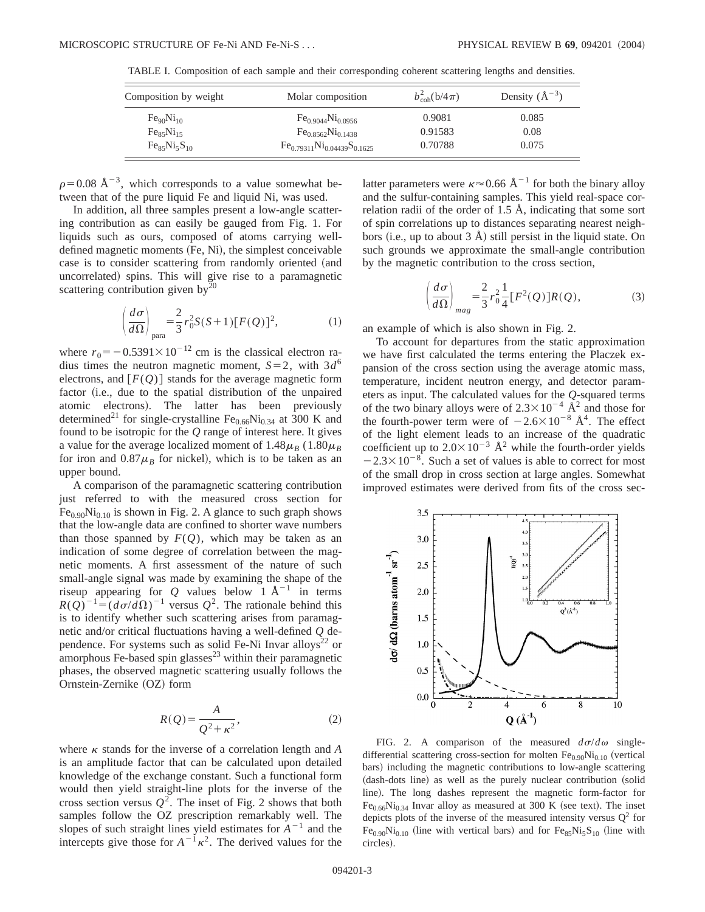| Composition by weight             | Molar composition                    | $b_{\rm coh}^2({\rm b}/4\pi)$ | Density $(\AA^{-3})$ |  |
|-----------------------------------|--------------------------------------|-------------------------------|----------------------|--|
| Fe <sub>90</sub> Ni <sub>10</sub> | $Fe_{0.9044}Ni_{0.0956}$             | 0.9081                        | 0.085                |  |
| Fe <sub>85</sub> Ni <sub>15</sub> | $Fe_{0.8562}Ni_{0.1438}$             | 0.91583                       | 0.08                 |  |
| $Fe_{85}Ni_{5}S_{10}$             | $Fe_{0.79311}Ni_{0.04439}S_{0.1625}$ | 0.70788                       | 0.075                |  |

TABLE I. Composition of each sample and their corresponding coherent scattering lengths and densities.

 $\rho$ =0.08 Å<sup>-3</sup>, which corresponds to a value somewhat between that of the pure liquid Fe and liquid Ni, was used.

In addition, all three samples present a low-angle scattering contribution as can easily be gauged from Fig. 1. For liquids such as ours, composed of atoms carrying welldefined magnetic moments  $(Fe, Ni)$ , the simplest conceivable case is to consider scattering from randomly oriented (and uncorrelated) spins. This will give rise to a paramagnetic scattering contribution given  $by<sup>20</sup>$ 

$$
\left(\frac{d\sigma}{d\Omega}\right)_{\text{para}} = \frac{2}{3}r_0^2 S(S+1)[F(Q)]^2,\tag{1}
$$

where  $r_0 = -0.5391 \times 10^{-12}$  cm is the classical electron radius times the neutron magnetic moment,  $S=2$ , with  $3d^6$ electrons, and  $[F(Q)]$  stands for the average magnetic form factor (i.e., due to the spatial distribution of the unpaired atomic electrons). The latter has been previously determined<sup>21</sup> for single-crystalline Fe<sub>0.66</sub>Ni<sub>0.34</sub> at 300 K and found to be isotropic for the *Q* range of interest here. It gives a value for the average localized moment of  $1.48\mu_B$  ( $1.80\mu_B$ ) for iron and  $0.87\mu$ <sup>B</sup> for nickel), which is to be taken as an upper bound.

A comparison of the paramagnetic scattering contribution just referred to with the measured cross section for  $Fe<sub>0.90</sub>Ni<sub>0.10</sub>$  is shown in Fig. 2. A glance to such graph shows that the low-angle data are confined to shorter wave numbers than those spanned by  $F(Q)$ , which may be taken as an indication of some degree of correlation between the magnetic moments. A first assessment of the nature of such small-angle signal was made by examining the shape of the riseup appearing for  $Q$  values below 1  $A^{-1}$  in terms  $R(Q)^{-1} = (d\sigma/d\Omega)^{-1}$  versus  $Q^2$ . The rationale behind this is to identify whether such scattering arises from paramagnetic and/or critical fluctuations having a well-defined *Q* dependence. For systems such as solid Fe-Ni Invar alloys<sup>22</sup> or amorphous Fe-based spin glasses $^{23}$  within their paramagnetic phases, the observed magnetic scattering usually follows the Ornstein-Zernike (OZ) form

$$
R(Q) = \frac{A}{Q^2 + \kappa^2},\tag{2}
$$

where  $\kappa$  stands for the inverse of a correlation length and  $A$ is an amplitude factor that can be calculated upon detailed knowledge of the exchange constant. Such a functional form would then yield straight-line plots for the inverse of the cross section versus  $Q^2$ . The inset of Fig. 2 shows that both samples follow the OZ prescription remarkably well. The slopes of such straight lines yield estimates for  $A^{-1}$  and the intercepts give those for  $A^{-1}k^2$ . The derived values for the latter parameters were  $\kappa \approx 0.66 \text{ Å}^{-1}$  for both the binary alloy and the sulfur-containing samples. This yield real-space correlation radii of the order of 1.5 Å, indicating that some sort of spin correlations up to distances separating nearest neighbors (i.e., up to about  $3 \text{ Å}$ ) still persist in the liquid state. On such grounds we approximate the small-angle contribution by the magnetic contribution to the cross section,

$$
\left(\frac{d\sigma}{d\Omega}\right)_{mag} = \frac{2}{3}r_0^2 \frac{1}{4} [F^2(Q)]R(Q),\tag{3}
$$

an example of which is also shown in Fig. 2.

To account for departures from the static approximation we have first calculated the terms entering the Placzek expansion of the cross section using the average atomic mass, temperature, incident neutron energy, and detector parameters as input. The calculated values for the *Q*-squared terms of the two binary alloys were of  $2.3 \times 10^{-4}$   $\AA^2$  and those for the fourth-power term were of  $-2.6\times10^{-8}$  Å<sup>4</sup>. The effect of the light element leads to an increase of the quadratic coefficient up to  $2.0\times10^{-3}$  Å<sup>2</sup> while the fourth-order yields  $-2.3\times10^{-8}$ . Such a set of values is able to correct for most of the small drop in cross section at large angles. Somewhat improved estimates were derived from fits of the cross sec-



FIG. 2. A comparison of the measured  $d\sigma/d\omega$  singledifferential scattering cross-section for molten  $Fe<sub>0.90</sub>Ni<sub>0.10</sub>$  (vertical bars) including the magnetic contributions to low-angle scattering (dash-dots line) as well as the purely nuclear contribution (solid line). The long dashes represent the magnetic form-factor for  $Fe<sub>0.66</sub>Ni<sub>0.34</sub>$  Invar alloy as measured at 300 K (see text). The inset depicts plots of the inverse of the measured intensity versus  $Q^2$  for  $Fe_{0.90}Ni_{0.10}$  (line with vertical bars) and for  $Fe_{85}Ni_{5}S_{10}$  (line with circles).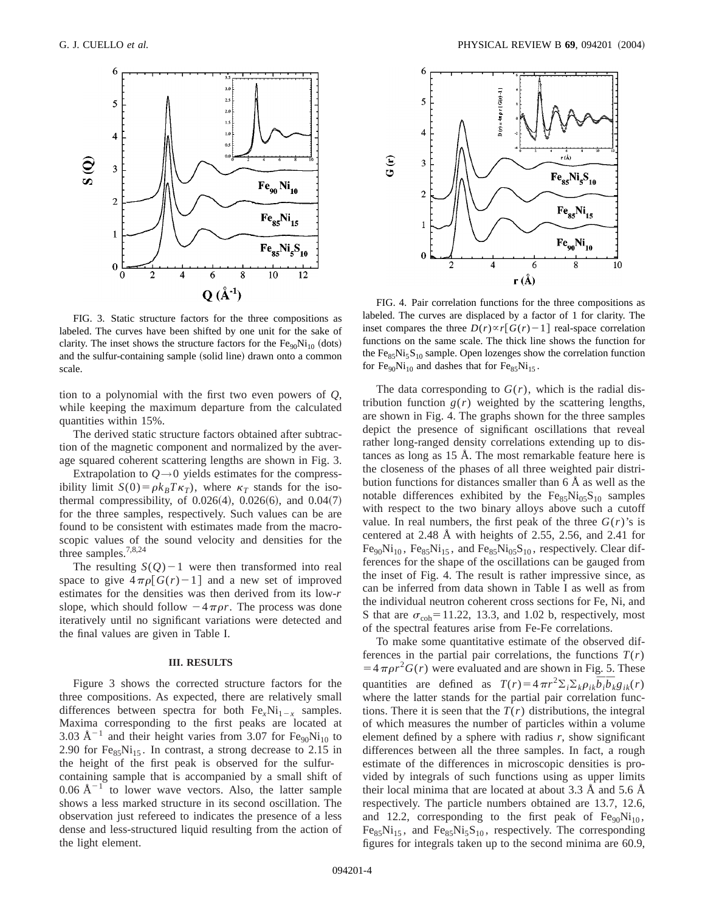

FIG. 3. Static structure factors for the three compositions as labeled. The curves have been shifted by one unit for the sake of clarity. The inset shows the structure factors for the  $Fe_{90}Ni_{10}$  (dots) and the sulfur-containing sample (solid line) drawn onto a common scale.

tion to a polynomial with the first two even powers of *Q*, while keeping the maximum departure from the calculated quantities within 15%.

The derived static structure factors obtained after subtraction of the magnetic component and normalized by the average squared coherent scattering lengths are shown in Fig. 3.

Extrapolation to  $Q \rightarrow 0$  yields estimates for the compressibility limit  $S(0) = \rho k_B T \kappa_T$ , where  $\kappa_T$  stands for the isothermal compressibility, of  $0.026(4)$ ,  $0.026(6)$ , and  $0.04(7)$ for the three samples, respectively. Such values can be are found to be consistent with estimates made from the macroscopic values of the sound velocity and densities for the three samples.7,8,24

The resulting  $S(Q)-1$  were then transformed into real space to give  $4\pi\rho\lceil G(r)-1\rceil$  and a new set of improved estimates for the densities was then derived from its low-*r* slope, which should follow  $-4\pi\rho r$ . The process was done iteratively until no significant variations were detected and the final values are given in Table I.

#### **III. RESULTS**

Figure 3 shows the corrected structure factors for the three compositions. As expected, there are relatively small differences between spectra for both  $Fe<sub>r</sub>Ni<sub>1-r</sub>$  samples. Maxima corresponding to the first peaks are located at 3.03  $\rm \AA^{-1}$  and their height varies from 3.07 for Fe<sub>90</sub>Ni<sub>10</sub> to 2.90 for  $Fe_{85}Ni_{15}$ . In contrast, a strong decrease to 2.15 in the height of the first peak is observed for the sulfurcontaining sample that is accompanied by a small shift of  $0.06 \text{ Å}^{-1}$  to lower wave vectors. Also, the latter sample shows a less marked structure in its second oscillation. The observation just refereed to indicates the presence of a less dense and less-structured liquid resulting from the action of the light element.



FIG. 4. Pair correlation functions for the three compositions as labeled. The curves are displaced by a factor of 1 for clarity. The inset compares the three  $D(r) \propto r \left[ G(r) - 1 \right]$  real-space correlation functions on the same scale. The thick line shows the function for the  $Fe_{85}Ni_{5}S_{10}$  sample. Open lozenges show the correlation function for  $Fe_{90}Ni_{10}$  and dashes that for  $Fe_{85}Ni_{15}$ .

The data corresponding to  $G(r)$ , which is the radial distribution function  $g(r)$  weighted by the scattering lengths, are shown in Fig. 4. The graphs shown for the three samples depict the presence of significant oscillations that reveal rather long-ranged density correlations extending up to distances as long as 15 Å. The most remarkable feature here is the closeness of the phases of all three weighted pair distribution functions for distances smaller than 6 Å as well as the notable differences exhibited by the  $Fe_{85}Ni_{05}S_{10}$  samples with respect to the two binary alloys above such a cutoff value. In real numbers, the first peak of the three  $G(r)$ 's is centered at 2.48 Å with heights of 2.55, 2.56, and 2.41 for  $Fe_{90}Ni_{10}$ ,  $Fe_{85}Ni_{15}$ , and  $Fe_{85}Ni_{05}S_{10}$ , respectively. Clear differences for the shape of the oscillations can be gauged from the inset of Fig. 4. The result is rather impressive since, as can be inferred from data shown in Table I as well as from the individual neutron coherent cross sections for Fe, Ni, and S that are  $\sigma_{coh}$ =11.22, 13.3, and 1.02 b, respectively, most of the spectral features arise from Fe-Fe correlations.

To make some quantitative estimate of the observed differences in the partial pair correlations, the functions  $T(r)$  $=4\pi\rho r^2G(r)$  were evaluated and are shown in Fig. 5. These quantities are defined as  $T(r) = 4 \pi r^2 \Sigma_i \Sigma_k \rho_{ik} \overline{b}_i \overline{b}_k g_{ik}(r)$ where the latter stands for the partial pair correlation functions. There it is seen that the  $T(r)$  distributions, the integral of which measures the number of particles within a volume element defined by a sphere with radius *r*, show significant differences between all the three samples. In fact, a rough estimate of the differences in microscopic densities is provided by integrals of such functions using as upper limits their local minima that are located at about 3.3 Å and 5.6 Å respectively. The particle numbers obtained are 13.7, 12.6, and 12.2, corresponding to the first peak of  $Fe_{90}Ni_{10}$ ,  $Fe_{85}Ni_{15}$ , and  $Fe_{85}Ni_{5}S_{10}$ , respectively. The corresponding figures for integrals taken up to the second minima are 60.9,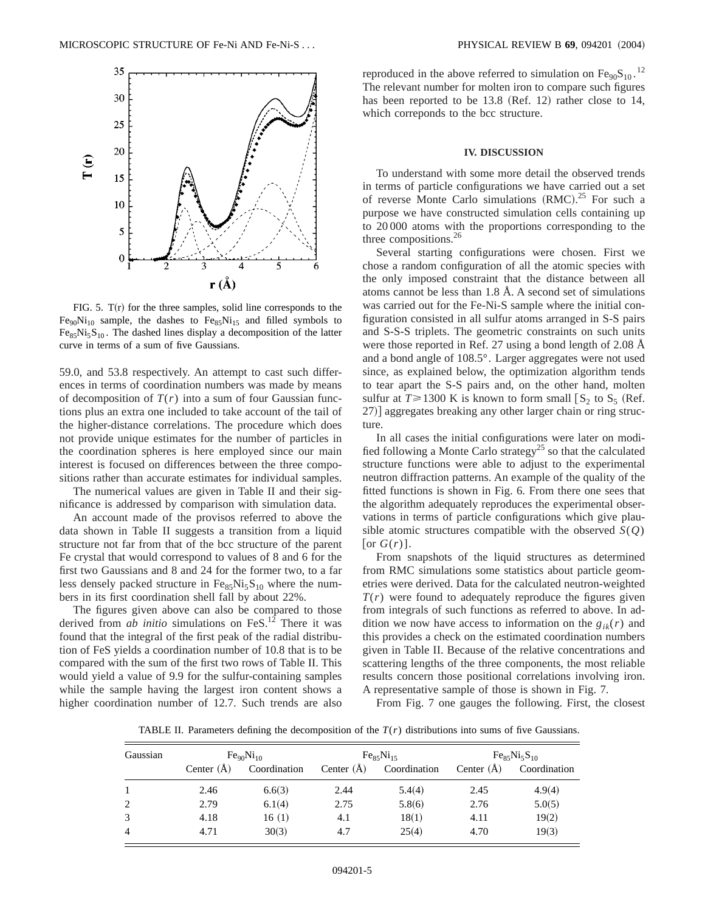

FIG. 5.  $T(r)$  for the three samples, solid line corresponds to the  $Fe<sub>90</sub>Ni<sub>10</sub>$  sample, the dashes to  $Fe<sub>85</sub>Ni<sub>15</sub>$  and filled symbols to  $Fe<sub>85</sub>Ni<sub>5</sub>S<sub>10</sub>$ . The dashed lines display a decomposition of the latter curve in terms of a sum of five Gaussians.

59.0, and 53.8 respectively. An attempt to cast such differences in terms of coordination numbers was made by means of decomposition of  $T(r)$  into a sum of four Gaussian functions plus an extra one included to take account of the tail of the higher-distance correlations. The procedure which does not provide unique estimates for the number of particles in the coordination spheres is here employed since our main interest is focused on differences between the three compositions rather than accurate estimates for individual samples.

The numerical values are given in Table II and their significance is addressed by comparison with simulation data.

An account made of the provisos referred to above the data shown in Table II suggests a transition from a liquid structure not far from that of the bcc structure of the parent Fe crystal that would correspond to values of 8 and 6 for the first two Gaussians and 8 and 24 for the former two, to a far less densely packed structure in  $Fe_{85}Ni_{5}S_{10}$  where the numbers in its first coordination shell fall by about 22%.

The figures given above can also be compared to those derived from *ab initio* simulations on FeS.<sup>12</sup> There it was found that the integral of the first peak of the radial distribution of FeS yields a coordination number of 10.8 that is to be compared with the sum of the first two rows of Table II. This would yield a value of 9.9 for the sulfur-containing samples while the sample having the largest iron content shows a higher coordination number of 12.7. Such trends are also

reproduced in the above referred to simulation on  $Fe_{90}S_{10}$ .<sup>12</sup> The relevant number for molten iron to compare such figures has been reported to be  $13.8$  (Ref. 12) rather close to 14, which correponds to the bcc structure.

### **IV. DISCUSSION**

To understand with some more detail the observed trends in terms of particle configurations we have carried out a set of reverse Monte Carlo simulations  $(RMC).^{25}$  For such a purpose we have constructed simulation cells containing up to 20 000 atoms with the proportions corresponding to the three compositions.<sup>26</sup>

Several starting configurations were chosen. First we chose a random configuration of all the atomic species with the only imposed constraint that the distance between all atoms cannot be less than 1.8 Å. A second set of simulations was carried out for the Fe-Ni-S sample where the initial configuration consisted in all sulfur atoms arranged in S-S pairs and S-S-S triplets. The geometric constraints on such units were those reported in Ref. 27 using a bond length of 2.08 Å and a bond angle of 108.5°. Larger aggregates were not used since, as explained below, the optimization algorithm tends to tear apart the S-S pairs and, on the other hand, molten sulfur at  $T \ge 1300$  K is known to form small  $\lceil S_2 \rceil$  to  $S_5$  (Ref. 27)] aggregates breaking any other larger chain or ring structure.

In all cases the initial configurations were later on modified following a Monte Carlo strategy<sup>25</sup> so that the calculated structure functions were able to adjust to the experimental neutron diffraction patterns. An example of the quality of the fitted functions is shown in Fig. 6. From there one sees that the algorithm adequately reproduces the experimental observations in terms of particle configurations which give plausible atomic structures compatible with the observed  $S(Q)$  $\lceil$  or  $G(r)\rceil$ .

From snapshots of the liquid structures as determined from RMC simulations some statistics about particle geometries were derived. Data for the calculated neutron-weighted *T*(*r*) were found to adequately reproduce the figures given from integrals of such functions as referred to above. In addition we now have access to information on the  $g_{ik}(r)$  and this provides a check on the estimated coordination numbers given in Table II. Because of the relative concentrations and scattering lengths of the three components, the most reliable results concern those positional correlations involving iron. A representative sample of those is shown in Fig. 7.

From Fig. 7 one gauges the following. First, the closest

TABLE II. Parameters defining the decomposition of the  $T(r)$  distributions into sums of five Gaussians.

| Gaussian       | Fe <sub>90</sub> Ni <sub>10</sub> |              | Fe <sub>85</sub> Ni <sub>15</sub> |              | $Fe_{85}Ni_{5}S_{10}$ |              |
|----------------|-----------------------------------|--------------|-----------------------------------|--------------|-----------------------|--------------|
|                | Center $(\AA)$                    | Coordination | Center $(\AA)$                    | Coordination | Center $(\AA)$        | Coordination |
| $\mathbf{1}$   | 2.46                              | 6.6(3)       | 2.44                              | 5.4(4)       | 2.45                  | 4.9(4)       |
| 2              | 2.79                              | 6.1(4)       | 2.75                              | 5.8(6)       | 2.76                  | 5.0(5)       |
| 3              | 4.18                              | 16(1)        | 4.1                               | 18(1)        | 4.11                  | 19(2)        |
| $\overline{4}$ | 4.71                              | 30(3)        | 4.7                               | 25(4)        | 4.70                  | 19(3)        |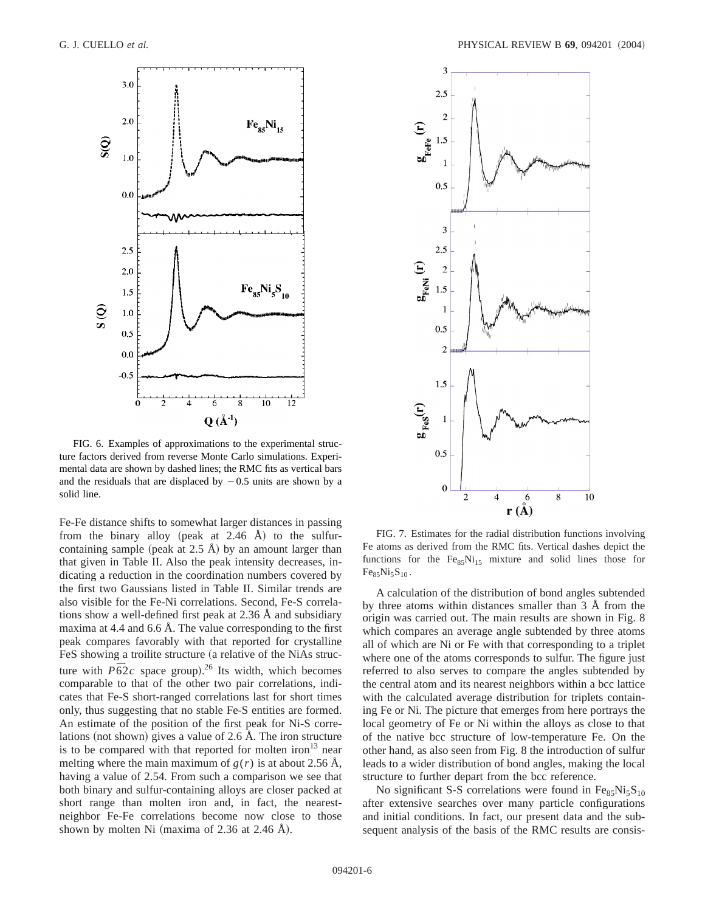

FIG. 6. Examples of approximations to the experimental structure factors derived from reverse Monte Carlo simulations. Experimental data are shown by dashed lines; the RMC fits as vertical bars and the residuals that are displaced by  $-0.5$  units are shown by a solid line.

Fe-Fe distance shifts to somewhat larger distances in passing from the binary alloy (peak at  $2.46$  Å) to the sulfurcontaining sample (peak at  $2.5$  Å) by an amount larger than that given in Table II. Also the peak intensity decreases, indicating a reduction in the coordination numbers covered by the first two Gaussians listed in Table II. Similar trends are also visible for the Fe-Ni correlations. Second, Fe-S correlations show a well-defined first peak at 2.36 Å and subsidiary maxima at 4.4 and 6.6 Å. The value corresponding to the first peak compares favorably with that reported for crystalline FeS showing a troilite structure (a relative of the NiAs structure with  $P\bar{6}2c$  space group).<sup>26</sup> Its width, which becomes comparable to that of the other two pair correlations, indicates that Fe-S short-ranged correlations last for short times only, thus suggesting that no stable Fe-S entities are formed. An estimate of the position of the first peak for Ni-S correlations (not shown) gives a value of  $2.6 \text{ Å}$ . The iron structure is to be compared with that reported for molten iron<sup>13</sup> near melting where the main maximum of  $g(r)$  is at about 2.56 Å, having a value of 2.54. From such a comparison we see that both binary and sulfur-containing alloys are closer packed at short range than molten iron and, in fact, the nearestneighbor Fe-Fe correlations become now close to those shown by molten Ni (maxima of  $2.36$  at  $2.46$  Å).



FIG. 7. Estimates for the radial distribution functions involving Fe atoms as derived from the RMC fits. Vertical dashes depict the functions for the  $Fe_{85}Ni_{15}$  mixture and solid lines those for  $Fe_{85}Ni_{5}S_{10}$ .

A calculation of the distribution of bond angles subtended by three atoms within distances smaller than 3 Å from the origin was carried out. The main results are shown in Fig. 8 which compares an average angle subtended by three atoms all of which are Ni or Fe with that corresponding to a triplet where one of the atoms corresponds to sulfur. The figure just referred to also serves to compare the angles subtended by the central atom and its nearest neighbors within a bcc lattice with the calculated average distribution for triplets containing Fe or Ni. The picture that emerges from here portrays the local geometry of Fe or Ni within the alloys as close to that of the native bcc structure of low-temperature Fe. On the other hand, as also seen from Fig. 8 the introduction of sulfur leads to a wider distribution of bond angles, making the local structure to further depart from the bcc reference.

No significant S-S correlations were found in  $Fe_{85}Ni_{5}S_{10}$ after extensive searches over many particle configurations and initial conditions. In fact, our present data and the subsequent analysis of the basis of the RMC results are consis-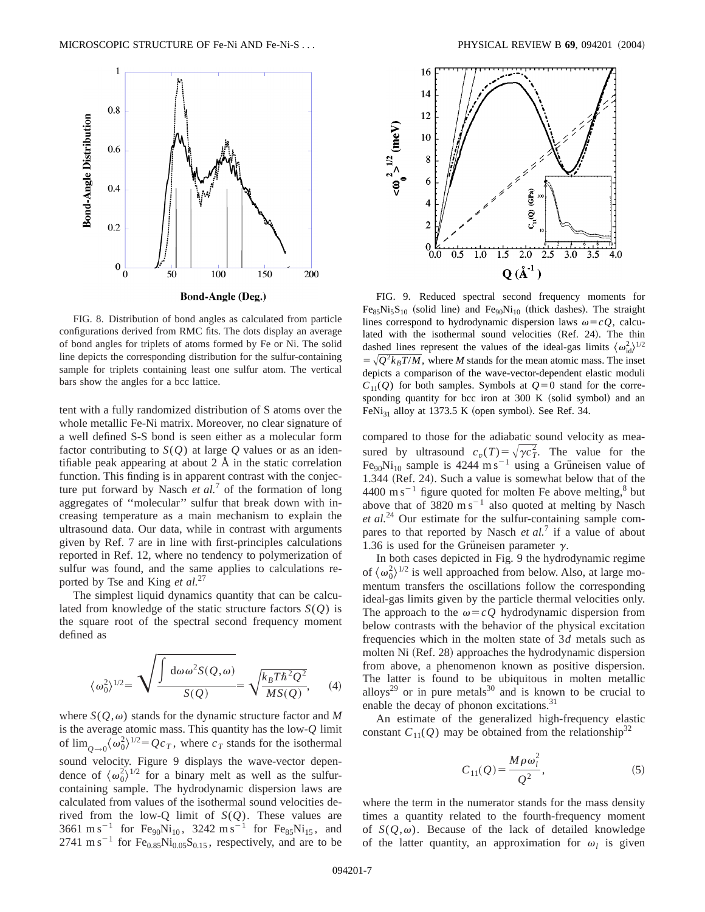

FIG. 8. Distribution of bond angles as calculated from particle configurations derived from RMC fits. The dots display an average of bond angles for triplets of atoms formed by Fe or Ni. The solid line depicts the corresponding distribution for the sulfur-containing sample for triplets containing least one sulfur atom. The vertical bars show the angles for a bcc lattice.

tent with a fully randomized distribution of S atoms over the whole metallic Fe-Ni matrix. Moreover, no clear signature of a well defined S-S bond is seen either as a molecular form factor contributing to  $S(Q)$  at large Q values or as an identifiable peak appearing at about  $2 \text{ Å}$  in the static correlation function. This finding is in apparent contrast with the conjecture put forward by Nasch *et al.*<sup>7</sup> of the formation of long aggregates of ''molecular'' sulfur that break down with increasing temperature as a main mechanism to explain the ultrasound data. Our data, while in contrast with arguments given by Ref. 7 are in line with first-principles calculations reported in Ref. 12, where no tendency to polymerization of sulfur was found, and the same applies to calculations reported by Tse and King *et al.*<sup>27</sup>

The simplest liquid dynamics quantity that can be calculated from knowledge of the static structure factors *S*(*Q*) is the square root of the spectral second frequency moment defined as

$$
\langle \omega_0^2 \rangle^{1/2} = \sqrt{\frac{\int d\omega \omega^2 S(Q, \omega)}{S(Q)}} = \sqrt{\frac{k_B T \hbar^2 Q^2}{MS(Q)}}, \quad (4)
$$

where  $S(Q,\omega)$  stands for the dynamic structure factor and M is the average atomic mass. This quantity has the low-*Q* limit of  $\lim_{Q\to 0} \langle \omega_0^2 \rangle^{1/2} = Qc_T$ , where  $c_T$  stands for the isothermal sound velocity. Figure 9 displays the wave-vector dependence of  $\langle \omega_0^2 \rangle^{1/2}$  for a binary melt as well as the sulfurcontaining sample. The hydrodynamic dispersion laws are calculated from values of the isothermal sound velocities derived from the low-Q limit of *S*(*Q*). These values are 3661 m s<sup>-1</sup> for Fe<sub>90</sub>Ni<sub>10</sub>, 3242 m s<sup>-1</sup> for Fe<sub>85</sub>Ni<sub>15</sub>, and 2741 m s<sup>-1</sup> for  $Fe<sub>0.85</sub>Ni<sub>0.05</sub>S<sub>0.15</sub>$ , respectively, and are to be



FIG. 9. Reduced spectral second frequency moments for  $Fe_{85}Ni_5S_{10}$  (solid line) and  $Fe_{90}Ni_{10}$  (thick dashes). The straight lines correspond to hydrodynamic dispersion laws  $\omega = cQ$ , calculated with the isothermal sound velocities (Ref. 24). The thin dashed lines represent the values of the ideal-gas limits  $\langle \omega_{\rm id}^2 \rangle^{1/2}$  $= \sqrt{Q^2k_B T/M}$ , where *M* stands for the mean atomic mass. The inset depicts a comparison of the wave-vector-dependent elastic moduli  $C_{11}(Q)$  for both samples. Symbols at  $Q=0$  stand for the corresponding quantity for bcc iron at 300 K (solid symbol) and an FeNi<sub>31</sub> alloy at 1373.5 K (open symbol). See Ref. 34.

compared to those for the adiabatic sound velocity as measured by ultrasound  $c_v(T) = \sqrt{\gamma c_T^2}$ . The value for the  $Fe_{90}Ni_{10}$  sample is 4244 m s<sup>-1</sup> using a Grüneisen value of 1.344 (Ref. 24). Such a value is somewhat below that of the 4400 m s<sup> $-1$ </sup> figure quoted for molten Fe above melting,<sup>8</sup> but above that of  $3820 \text{ m s}^{-1}$  also quoted at melting by Nasch *et al.*<sup>24</sup> Our estimate for the sulfur-containing sample compares to that reported by Nasch *et al.*<sup>7</sup> if a value of about 1.36 is used for the Grüneisen parameter  $\gamma$ .

In both cases depicted in Fig. 9 the hydrodynamic regime of  $\langle \omega_0^2 \rangle^{1/2}$  is well approached from below. Also, at large momentum transfers the oscillations follow the corresponding ideal-gas limits given by the particle thermal velocities only. The approach to the  $\omega = cQ$  hydrodynamic dispersion from below contrasts with the behavior of the physical excitation frequencies which in the molten state of 3*d* metals such as molten Ni (Ref. 28) approaches the hydrodynamic dispersion from above, a phenomenon known as positive dispersion. The latter is found to be ubiquitous in molten metallic alloys<sup>29</sup> or in pure metals<sup>30</sup> and is known to be crucial to enable the decay of phonon excitations.<sup>31</sup>

An estimate of the generalized high-frequency elastic constant  $C_{11}(Q)$  may be obtained from the relationship<sup>32</sup>

$$
C_{11}(Q) = \frac{M \rho \omega_l^2}{Q^2},
$$
\n(5)

where the term in the numerator stands for the mass density times a quantity related to the fourth-frequency moment of  $S(Q,\omega)$ . Because of the lack of detailed knowledge of the latter quantity, an approximation for  $\omega_l$  is given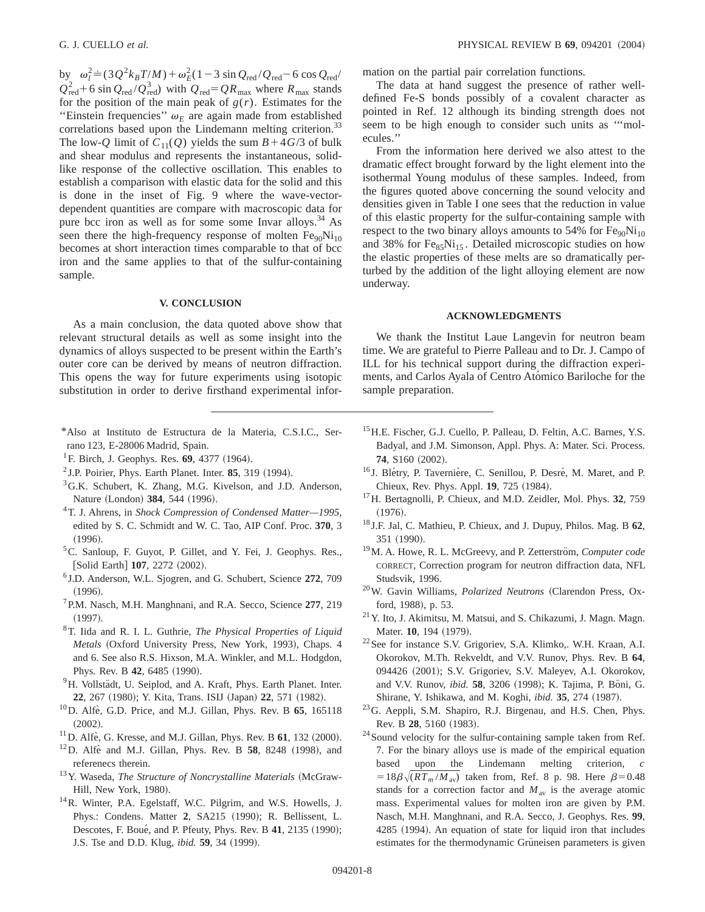by  $\omega_l^2 = (3Q^2 k_B T/M) + \omega_E^2 (1 - 3 \sin Q_{\text{red}} / Q_{\text{red}} - 6 \cos Q_{\text{red}})$  $Q_{\text{red}}^2$  + 6 sin  $Q_{\text{red}}$  /  $Q_{\text{red}}^3$ ) with  $Q_{\text{red}} = QR_{\text{max}}$  where  $R_{\text{max}}$  stands for the position of the main peak of  $g(r)$ . Estimates for the "Einstein frequencies"  $\omega_E$  are again made from established correlations based upon the Lindemann melting criterion.<sup>33</sup> The low-*Q* limit of  $C_{11}(Q)$  yields the sum  $B+4G/3$  of bulk and shear modulus and represents the instantaneous, solidlike response of the collective oscillation. This enables to establish a comparison with elastic data for the solid and this is done in the inset of Fig. 9 where the wave-vectordependent quantities are compare with macroscopic data for pure bcc iron as well as for some some Invar alloys.<sup>34</sup> As seen there the high-frequency response of molten  $Fe_{90}Ni_{10}$ becomes at short interaction times comparable to that of bcc iron and the same applies to that of the sulfur-containing sample.

## **V. CONCLUSION**

As a main conclusion, the data quoted above show that relevant structural details as well as some insight into the dynamics of alloys suspected to be present within the Earth's outer core can be derived by means of neutron diffraction. This opens the way for future experiments using isotopic substitution in order to derive firsthand experimental infor-

- \*Also at Instituto de Estructura de la Materia, C.S.I.C., Serrano 123, E-28006 Madrid, Spain.
- $^{1}$ F. Birch, J. Geophys. Res. 69, 4377 (1964).
- $2$  J.P. Poirier, Phys. Earth Planet. Inter.  $85$ , 319 (1994).
- <sup>3</sup>G.K. Schubert, K. Zhang, M.G. Kivelson, and J.D. Anderson, Nature (London) 384, 544 (1996).
- 4T. J. Ahrens, in *Shock Compression of Condensed Matter—1995*, edited by S. C. Schmidt and W. C. Tao, AIP Conf. Proc. **370**, 3  $(1996).$
- <sup>5</sup>C. Sanloup, F. Guyot, P. Gillet, and Y. Fei, J. Geophys. Res., [Solid Earth] **107**, 2272 (2002).
- <sup>6</sup> J.D. Anderson, W.L. Sjogren, and G. Schubert, Science **272**, 709  $(1996).$
- 7P.M. Nasch, M.H. Manghnani, and R.A. Secco, Science **277**, 219  $(1997).$
- 8T. Iida and R. I. L. Guthrie, *The Physical Properties of Liquid Metals* (Oxford University Press, New York, 1993), Chaps. 4 and 6. See also R.S. Hixson, M.A. Winkler, and M.L. Hodgdon, Phys. Rev. B 42, 6485 (1990).
- <sup>9</sup>H. Vollstädt, U. Seiplod, and A. Kraft, Phys. Earth Planet. Inter. 22, 267 (1980); Y. Kita, Trans. ISIJ (Japan) 22, 571 (1982).
- <sup>10</sup>D. Alfè, G.D. Price, and M.J. Gillan, Phys. Rev. B 65, 165118  $(2002).$
- $11$  D. Alfè, G. Kresse, and M.J. Gillan, Phys. Rev. B  $61$ , 132 (2000).
- $12$  D. Alfe` and M.J. Gillan, Phys. Rev. B **58**, 8248  $(1998)$ , and referenecs therein.
- <sup>13</sup>Y. Waseda, *The Structure of Noncrystalline Materials* (McGraw-Hill, New York, 1980).
- <sup>14</sup>R. Winter, P.A. Egelstaff, W.C. Pilgrim, and W.S. Howells, J. Phys.: Condens. Matter 2, SA215 (1990); R. Bellissent, L. Descotes, F. Boué, and P. Pfeuty, Phys. Rev. B 41, 2135 (1990); J.S. Tse and D.D. Klug, *ibid.* **59**, 34 (1999).

mation on the partial pair correlation functions.

The data at hand suggest the presence of rather welldefined Fe-S bonds possibly of a covalent character as pointed in Ref. 12 although its binding strength does not seem to be high enough to consider such units as '''molecules.''

From the information here derived we also attest to the dramatic effect brought forward by the light element into the isothermal Young modulus of these samples. Indeed, from the figures quoted above concerning the sound velocity and densities given in Table I one sees that the reduction in value of this elastic property for the sulfur-containing sample with respect to the two binary alloys amounts to 54% for  $Fe_{90}Ni_{10}$ and 38% for  $Fe<sub>85</sub>Ni<sub>15</sub>$ . Detailed microscopic studies on how the elastic properties of these melts are so dramatically perturbed by the addition of the light alloying element are now underway.

### **ACKNOWLEDGMENTS**

We thank the Institut Laue Langevin for neutron beam time. We are grateful to Pierre Palleau and to Dr. J. Campo of ILL for his technical support during the diffraction experiments, and Carlos Ayala of Centro Atómico Bariloche for the sample preparation.

- <sup>15</sup> H.E. Fischer, G.J. Cuello, P. Palleau, D. Feltin, A.C. Barnes, Y.S. Badyal, and J.M. Simonson, Appl. Phys. A: Mater. Sci. Process. **74.** S160 (2002).
- <sup>16</sup> J. Blétry, P. Tavernière, C. Senillou, P. Desré, M. Maret, and P. Chieux, Rev. Phys. Appl. **19**, 725 (1984).
- 17H. Bertagnolli, P. Chieux, and M.D. Zeidler, Mol. Phys. **32**, 759  $(1976).$
- <sup>18</sup> J.F. Jal, C. Mathieu, P. Chieux, and J. Dupuy, Philos. Mag. B **62**, 351 (1990).
- <sup>19</sup>M. A. Howe, R. L. McGreevy, and P. Zetterström, *Computer code* CORRECT, Correction program for neutron diffraction data, NFL Studsvik, 1996.
- <sup>20</sup>W. Gavin Williams, *Polarized Neutrons* (Clarendon Press, Oxford, 1988), p. 53.
- 21Y. Ito, J. Akimitsu, M. Matsui, and S. Chikazumi, J. Magn. Magn. Mater. 10, 194 (1979).
- 22See for instance S.V. Grigoriev, S.A. Klimko,. W.H. Kraan, A.I. Okorokov, M.Th. Rekveldt, and V.V. Runov, Phys. Rev. B **64**, 094426 (2001); S.V. Grigoriev, S.V. Maleyev, A.I. Okorokov, and V.V. Runov, *ibid.* 58, 3206 (1998); K. Tajima, P. Böni, G. Shirane, Y. Ishikawa, and M. Koghi, *ibid.* 35, 274 (1987).
- 23G. Aeppli, S.M. Shapiro, R.J. Birgenau, and H.S. Chen, Phys. Rev. B 28, 5160 (1983).
- <sup>24</sup> Sound velocity for the sulfur-containing sample taken from Ref. 7. For the binary alloys use is made of the empirical equation based upon the Lindemann melting criterion, *c*  $=18\beta\sqrt{(RT_m/M_{av})}$  taken from, Ref. 8 p. 98. Here  $\beta=0.48$ stands for a correction factor and  $M_{av}$  is the average atomic mass. Experimental values for molten iron are given by P.M. Nasch, M.H. Manghnani, and R.A. Secco, J. Geophys. Res. **99**, 4285 (1994). An equation of state for liquid iron that includes estimates for the thermodynamic Grüneisen parameters is given